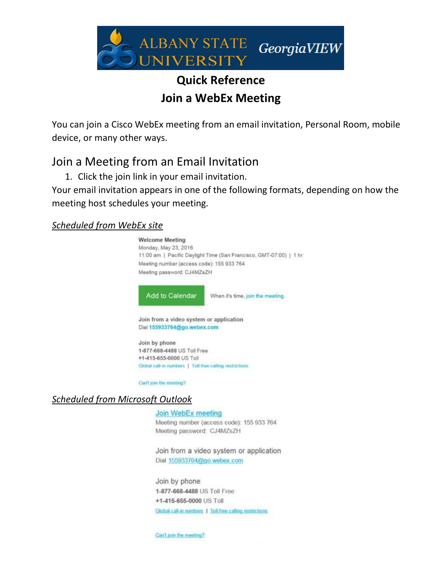

## **Quick Reference Join a WebEx Meeting**

You can join a Cisco WebEx meeting from an email invitation, Personal Room, mobile device, or many other ways.

## Join a Meeting from an Email Invitation

1. Click the join link in your email invitation.

Your email invitation appears in one of the following formats, depending on how the meeting host schedules your meeting.

## *Scheduled from WebEx site*

**Welcome Meeting** Monday, May 23, 2016 11:00 am | Pacific Daylight Time (San Francisco, GMT-07:00) | 1 hr Meeting number (access code): 155 933 764 Meeting password: CJ4MZsZH Add to Calendar When it's time, join the meeting. Join from a video system or application Dial 155933764@go.webex.com Join by phone 1-877-668-4488 US Toll Free +1-415-655-0000 US Toll Global call-in numbers | Toll-free calling restrictions Can't join the meeting?

## *Scheduled from Microsoft Outlook*

Join WebEx meeting Meeting number (access code): 155 933 764 Meeting password: CJ4MZsZH

Join from a video system or application Dial 155933764@go.webex.com

Join by phone 1-877-668-4488 US Toll Free +1-415-655-0000 US Toll Global call in numbers | Toll-free calling restrictions

Can't join the meeting?